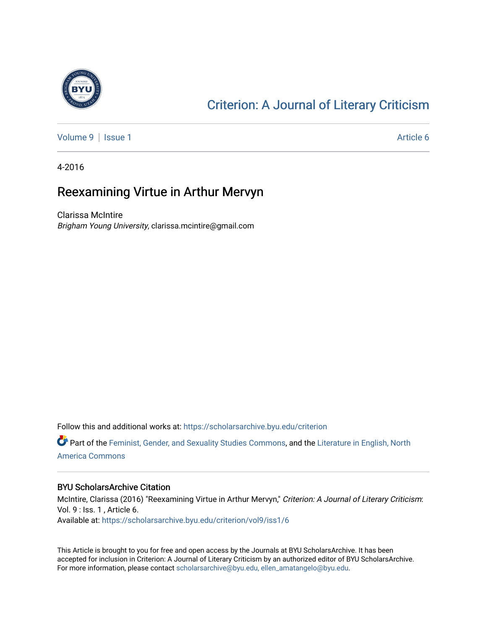

### [Criterion: A Journal of Literary Criticism](https://scholarsarchive.byu.edu/criterion)

[Volume 9](https://scholarsarchive.byu.edu/criterion/vol9) | [Issue 1](https://scholarsarchive.byu.edu/criterion/vol9/iss1) Article 6

4-2016

### Reexamining Virtue in Arthur Mervyn

Clarissa McIntire Brigham Young University, clarissa.mcintire@gmail.com

Follow this and additional works at: [https://scholarsarchive.byu.edu/criterion](https://scholarsarchive.byu.edu/criterion?utm_source=scholarsarchive.byu.edu%2Fcriterion%2Fvol9%2Fiss1%2F6&utm_medium=PDF&utm_campaign=PDFCoverPages) 

Part of the [Feminist, Gender, and Sexuality Studies Commons](http://network.bepress.com/hgg/discipline/559?utm_source=scholarsarchive.byu.edu%2Fcriterion%2Fvol9%2Fiss1%2F6&utm_medium=PDF&utm_campaign=PDFCoverPages), and the [Literature in English, North](http://network.bepress.com/hgg/discipline/458?utm_source=scholarsarchive.byu.edu%2Fcriterion%2Fvol9%2Fiss1%2F6&utm_medium=PDF&utm_campaign=PDFCoverPages) [America Commons](http://network.bepress.com/hgg/discipline/458?utm_source=scholarsarchive.byu.edu%2Fcriterion%2Fvol9%2Fiss1%2F6&utm_medium=PDF&utm_campaign=PDFCoverPages) 

#### BYU ScholarsArchive Citation

McIntire, Clarissa (2016) "Reexamining Virtue in Arthur Mervyn," Criterion: A Journal of Literary Criticism: Vol. 9 : Iss. 1 , Article 6. Available at: [https://scholarsarchive.byu.edu/criterion/vol9/iss1/6](https://scholarsarchive.byu.edu/criterion/vol9/iss1/6?utm_source=scholarsarchive.byu.edu%2Fcriterion%2Fvol9%2Fiss1%2F6&utm_medium=PDF&utm_campaign=PDFCoverPages) 

This Article is brought to you for free and open access by the Journals at BYU ScholarsArchive. It has been accepted for inclusion in Criterion: A Journal of Literary Criticism by an authorized editor of BYU ScholarsArchive. For more information, please contact [scholarsarchive@byu.edu, ellen\\_amatangelo@byu.edu](mailto:scholarsarchive@byu.edu,%20ellen_amatangelo@byu.edu).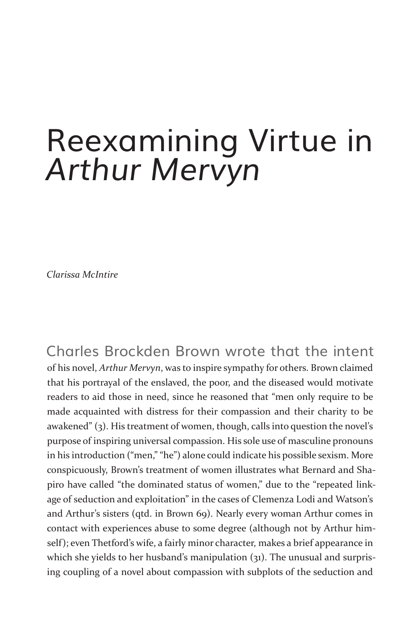# Reexamining Virtue in *Arthur Mervyn*

*Clarissa McIntire*

Charles Brockden Brown wrote that the intent of his novel, *Arthur Mervyn*, was to inspire sympathy for others. Brown claimed that his portrayal of the enslaved, the poor, and the diseased would motivate readers to aid those in need, since he reasoned that "men only require to be made acquainted with distress for their compassion and their charity to be awakened" (3). His treatment of women, though, calls into question the novel's purpose of inspiring universal compassion. His sole use of masculine pronouns in his introduction ("men," "he") alone could indicate his possible sexism. More conspicuously, Brown's treatment of women illustrates what Bernard and Shapiro have called "the dominated status of women," due to the "repeated linkage of seduction and exploitation" in the cases of Clemenza Lodi and Watson's and Arthur's sisters (qtd. in Brown 69). Nearly every woman Arthur comes in contact with experiences abuse to some degree (although not by Arthur himself); even Thetford's wife, a fairly minor character, makes a brief appearance in which she yields to her husband's manipulation (31). The unusual and surprising coupling of a novel about compassion with subplots of the seduction and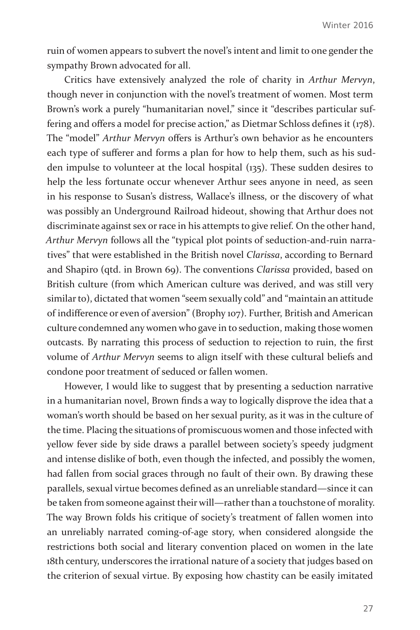ruin of women appears to subvert the novel's intent and limit to one gender the sympathy Brown advocated for all.

Critics have extensively analyzed the role of charity in *Arthur Mervyn*, though never in conjunction with the novel's treatment of women. Most term Brown's work a purely "humanitarian novel," since it "describes particular suffering and offers a model for precise action," as Dietmar Schloss defines it (178). The "model" *Arthur Mervyn* offers is Arthur's own behavior as he encounters each type of sufferer and forms a plan for how to help them, such as his sudden impulse to volunteer at the local hospital (135). These sudden desires to help the less fortunate occur whenever Arthur sees anyone in need, as seen in his response to Susan's distress, Wallace's illness, or the discovery of what was possibly an Underground Railroad hideout, showing that Arthur does not discriminate against sex or race in his attempts to give relief. On the other hand, *Arthur Mervyn* follows all the "typical plot points of seduction-and-ruin narratives" that were established in the British novel *Clarissa*, according to Bernard and Shapiro (qtd. in Brown 69). The conventions *Clarissa* provided, based on British culture (from which American culture was derived, and was still very similar to), dictated that women "seem sexually cold" and "maintain an attitude of indifference or even of aversion" (Brophy 107). Further, British and American culture condemned any women who gave in to seduction, making those women outcasts. By narrating this process of seduction to rejection to ruin, the first volume of *Arthur Mervyn* seems to align itself with these cultural beliefs and condone poor treatment of seduced or fallen women.

However, I would like to suggest that by presenting a seduction narrative in a humanitarian novel, Brown finds a way to logically disprove the idea that a woman's worth should be based on her sexual purity, as it was in the culture of the time. Placing the situations of promiscuous women and those infected with yellow fever side by side draws a parallel between society's speedy judgment and intense dislike of both, even though the infected, and possibly the women, had fallen from social graces through no fault of their own. By drawing these parallels, sexual virtue becomes defined as an unreliable standard—since it can be taken from someone against their will—rather than a touchstone of morality. The way Brown folds his critique of society's treatment of fallen women into an unreliably narrated coming-of-age story, when considered alongside the restrictions both social and literary convention placed on women in the late 18th century, underscores the irrational nature of a society that judges based on the criterion of sexual virtue. By exposing how chastity can be easily imitated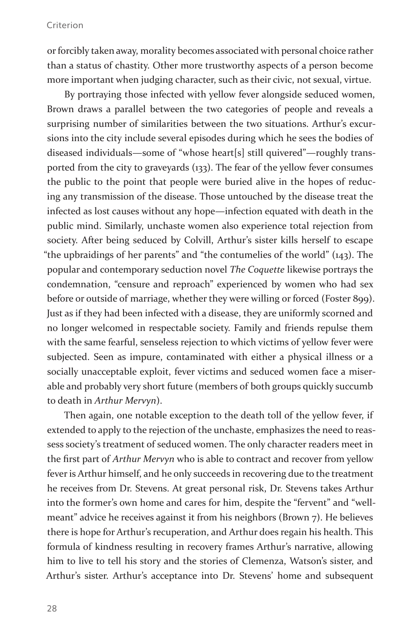#### Criterion

or forcibly taken away, morality becomes associated with personal choice rather than a status of chastity. Other more trustworthy aspects of a person become more important when judging character, such as their civic, not sexual, virtue.

By portraying those infected with yellow fever alongside seduced women, Brown draws a parallel between the two categories of people and reveals a surprising number of similarities between the two situations. Arthur's excursions into the city include several episodes during which he sees the bodies of diseased individuals—some of "whose heart[s] still quivered"—roughly transported from the city to graveyards (133). The fear of the yellow fever consumes the public to the point that people were buried alive in the hopes of reducing any transmission of the disease. Those untouched by the disease treat the infected as lost causes without any hope—infection equated with death in the public mind. Similarly, unchaste women also experience total rejection from society. After being seduced by Colvill, Arthur's sister kills herself to escape "the upbraidings of her parents" and "the contumelies of the world" (143). The popular and contemporary seduction novel *The Coquette* likewise portrays the condemnation, "censure and reproach" experienced by women who had sex before or outside of marriage, whether they were willing or forced (Foster 899). Just as if they had been infected with a disease, they are uniformly scorned and no longer welcomed in respectable society. Family and friends repulse them with the same fearful, senseless rejection to which victims of yellow fever were subjected. Seen as impure, contaminated with either a physical illness or a socially unacceptable exploit, fever victims and seduced women face a miserable and probably very short future (members of both groups quickly succumb to death in *Arthur Mervyn*).

Then again, one notable exception to the death toll of the yellow fever, if extended to apply to the rejection of the unchaste, emphasizes the need to reassess society's treatment of seduced women. The only character readers meet in the first part of *Arthur Mervyn* who is able to contract and recover from yellow fever is Arthur himself, and he only succeeds in recovering due to the treatment he receives from Dr. Stevens. At great personal risk, Dr. Stevens takes Arthur into the former's own home and cares for him, despite the "fervent" and "wellmeant" advice he receives against it from his neighbors (Brown 7). He believes there is hope for Arthur's recuperation, and Arthur does regain his health. This formula of kindness resulting in recovery frames Arthur's narrative, allowing him to live to tell his story and the stories of Clemenza, Watson's sister, and Arthur's sister. Arthur's acceptance into Dr. Stevens' home and subsequent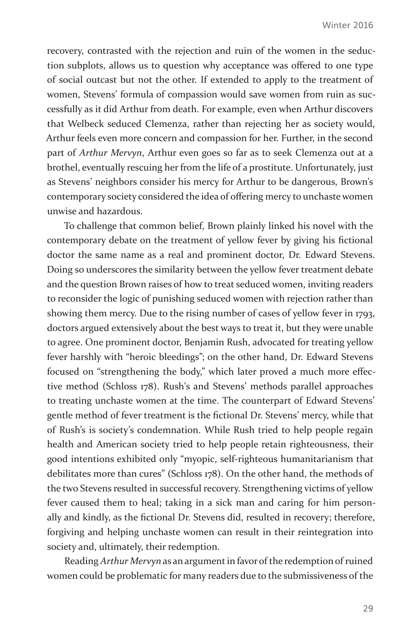recovery, contrasted with the rejection and ruin of the women in the seduction subplots, allows us to question why acceptance was offered to one type of social outcast but not the other. If extended to apply to the treatment of women, Stevens' formula of compassion would save women from ruin as successfully as it did Arthur from death. For example, even when Arthur discovers that Welbeck seduced Clemenza, rather than rejecting her as society would, Arthur feels even more concern and compassion for her. Further, in the second part of *Arthur Mervyn*, Arthur even goes so far as to seek Clemenza out at a brothel, eventually rescuing her from the life of a prostitute. Unfortunately, just as Stevens' neighbors consider his mercy for Arthur to be dangerous, Brown's contemporary society considered the idea of offering mercy to unchaste women unwise and hazardous.

To challenge that common belief, Brown plainly linked his novel with the contemporary debate on the treatment of yellow fever by giving his fictional doctor the same name as a real and prominent doctor, Dr. Edward Stevens. Doing so underscores the similarity between the yellow fever treatment debate and the question Brown raises of how to treat seduced women, inviting readers to reconsider the logic of punishing seduced women with rejection rather than showing them mercy. Due to the rising number of cases of yellow fever in 1793, doctors argued extensively about the best ways to treat it, but they were unable to agree. One prominent doctor, Benjamin Rush, advocated for treating yellow fever harshly with "heroic bleedings"; on the other hand, Dr. Edward Stevens focused on "strengthening the body," which later proved a much more effective method (Schloss 178). Rush's and Stevens' methods parallel approaches to treating unchaste women at the time. The counterpart of Edward Stevens' gentle method of fever treatment is the fictional Dr. Stevens' mercy, while that of Rush's is society's condemnation. While Rush tried to help people regain health and American society tried to help people retain righteousness, their good intentions exhibited only "myopic, self-righteous humanitarianism that debilitates more than cures" (Schloss 178). On the other hand, the methods of the two Stevens resulted in successful recovery. Strengthening victims of yellow fever caused them to heal; taking in a sick man and caring for him personally and kindly, as the fictional Dr. Stevens did, resulted in recovery; therefore, forgiving and helping unchaste women can result in their reintegration into society and, ultimately, their redemption.

Reading *Arthur Mervyn* as an argument in favor of the redemption of ruined women could be problematic for many readers due to the submissiveness of the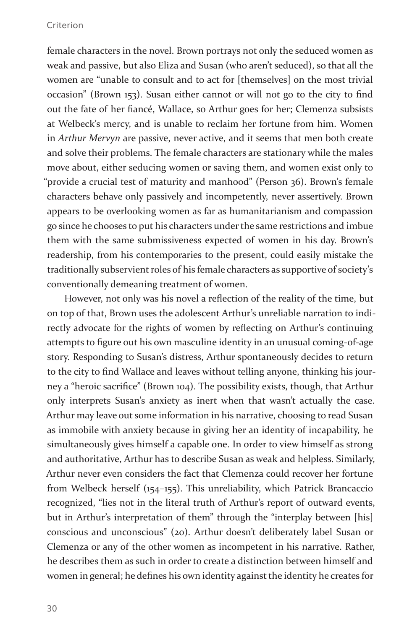#### Criterion

female characters in the novel. Brown portrays not only the seduced women as weak and passive, but also Eliza and Susan (who aren't seduced), so that all the women are "unable to consult and to act for [themselves] on the most trivial occasion" (Brown 153). Susan either cannot or will not go to the city to find out the fate of her fiancé, Wallace, so Arthur goes for her; Clemenza subsists at Welbeck's mercy, and is unable to reclaim her fortune from him. Women in *Arthur Mervyn* are passive, never active, and it seems that men both create and solve their problems. The female characters are stationary while the males move about, either seducing women or saving them, and women exist only to "provide a crucial test of maturity and manhood" (Person 36). Brown's female characters behave only passively and incompetently, never assertively. Brown appears to be overlooking women as far as humanitarianism and compassion go since he chooses to put his characters under the same restrictions and imbue them with the same submissiveness expected of women in his day. Brown's readership, from his contemporaries to the present, could easily mistake the traditionally subservient roles of his female characters as supportive of society's conventionally demeaning treatment of women.

However, not only was his novel a reflection of the reality of the time, but on top of that, Brown uses the adolescent Arthur's unreliable narration to indirectly advocate for the rights of women by reflecting on Arthur's continuing attempts to figure out his own masculine identity in an unusual coming-of-age story. Responding to Susan's distress, Arthur spontaneously decides to return to the city to find Wallace and leaves without telling anyone, thinking his journey a "heroic sacrifice" (Brown 104). The possibility exists, though, that Arthur only interprets Susan's anxiety as inert when that wasn't actually the case. Arthur may leave out some information in his narrative, choosing to read Susan as immobile with anxiety because in giving her an identity of incapability, he simultaneously gives himself a capable one. In order to view himself as strong and authoritative, Arthur has to describe Susan as weak and helpless. Similarly, Arthur never even considers the fact that Clemenza could recover her fortune from Welbeck herself (154–155). This unreliability, which Patrick Brancaccio recognized, "lies not in the literal truth of Arthur's report of outward events, but in Arthur's interpretation of them" through the "interplay between [his] conscious and unconscious" (20). Arthur doesn't deliberately label Susan or Clemenza or any of the other women as incompetent in his narrative. Rather, he describes them as such in order to create a distinction between himself and women in general; he defines his own identity against the identity he creates for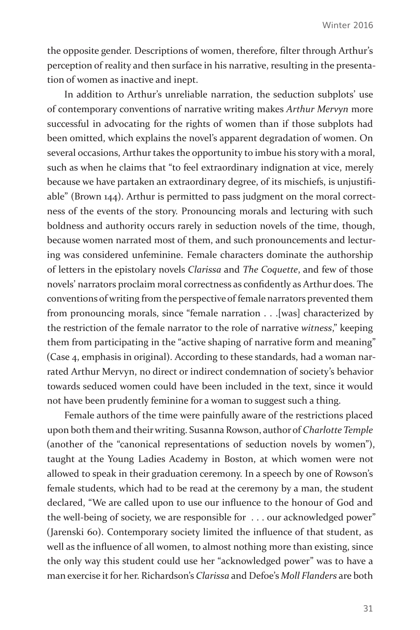the opposite gender. Descriptions of women, therefore, filter through Arthur's perception of reality and then surface in his narrative, resulting in the presentation of women as inactive and inept.

In addition to Arthur's unreliable narration, the seduction subplots' use of contemporary conventions of narrative writing makes *Arthur Mervyn* more successful in advocating for the rights of women than if those subplots had been omitted, which explains the novel's apparent degradation of women. On several occasions, Arthur takes the opportunity to imbue his story with a moral, such as when he claims that "to feel extraordinary indignation at vice, merely because we have partaken an extraordinary degree, of its mischiefs, is unjustifiable" (Brown 144). Arthur is permitted to pass judgment on the moral correctness of the events of the story. Pronouncing morals and lecturing with such boldness and authority occurs rarely in seduction novels of the time, though, because women narrated most of them, and such pronouncements and lecturing was considered unfeminine. Female characters dominate the authorship of letters in the epistolary novels *Clarissa* and *The Coquette*, and few of those novels' narrators proclaim moral correctness as confidently as Arthur does. The conventions of writing from the perspective of female narrators prevented them from pronouncing morals, since "female narration . . .[was] characterized by the restriction of the female narrator to the role of narrative *witness*," keeping them from participating in the "active shaping of narrative form and meaning" (Case 4, emphasis in original). According to these standards, had a woman narrated Arthur Mervyn, no direct or indirect condemnation of society's behavior towards seduced women could have been included in the text, since it would not have been prudently feminine for a woman to suggest such a thing.

Female authors of the time were painfully aware of the restrictions placed upon both them and their writing. Susanna Rowson, author of *Charlotte Temple* (another of the "canonical representations of seduction novels by women"), taught at the Young Ladies Academy in Boston, at which women were not allowed to speak in their graduation ceremony. In a speech by one of Rowson's female students, which had to be read at the ceremony by a man, the student declared, "We are called upon to use our influence to the honour of God and the well-being of society, we are responsible for . . . our acknowledged power" (Jarenski 60). Contemporary society limited the influence of that student, as well as the influence of all women, to almost nothing more than existing, since the only way this student could use her "acknowledged power" was to have a man exercise it for her. Richardson's *Clarissa* and Defoe's *Moll Flanders* are both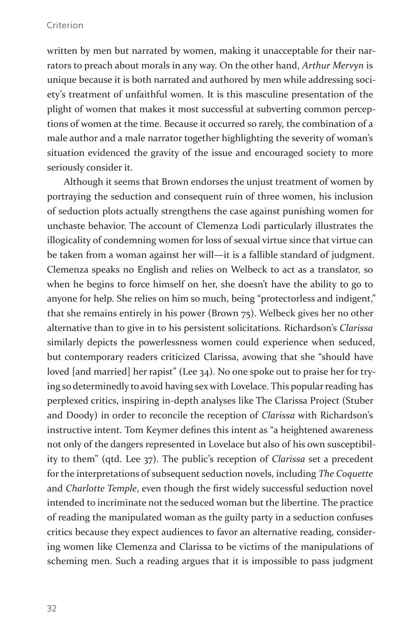#### Criterion

written by men but narrated by women, making it unacceptable for their narrators to preach about morals in any way. On the other hand, *Arthur Mervyn* is unique because it is both narrated and authored by men while addressing society's treatment of unfaithful women. It is this masculine presentation of the plight of women that makes it most successful at subverting common perceptions of women at the time. Because it occurred so rarely, the combination of a male author and a male narrator together highlighting the severity of woman's situation evidenced the gravity of the issue and encouraged society to more seriously consider it.

Although it seems that Brown endorses the unjust treatment of women by portraying the seduction and consequent ruin of three women, his inclusion of seduction plots actually strengthens the case against punishing women for unchaste behavior. The account of Clemenza Lodi particularly illustrates the illogicality of condemning women for loss of sexual virtue since that virtue can be taken from a woman against her will—it is a fallible standard of judgment. Clemenza speaks no English and relies on Welbeck to act as a translator, so when he begins to force himself on her, she doesn't have the ability to go to anyone for help. She relies on him so much, being "protectorless and indigent," that she remains entirely in his power (Brown 75). Welbeck gives her no other alternative than to give in to his persistent solicitations. Richardson's *Clarissa*  similarly depicts the powerlessness women could experience when seduced, but contemporary readers criticized Clarissa, avowing that she "should have loved [and married] her rapist" (Lee 34). No one spoke out to praise her for trying so determinedly to avoid having sex with Lovelace. This popular reading has perplexed critics, inspiring in-depth analyses like The Clarissa Project (Stuber and Doody) in order to reconcile the reception of *Clarissa* with Richardson's instructive intent. Tom Keymer defines this intent as "a heightened awareness not only of the dangers represented in Lovelace but also of his own susceptibility to them" (qtd. Lee 37). The public's reception of *Clarissa* set a precedent for the interpretations of subsequent seduction novels, including *The Coquette*  and *Charlotte Temple*, even though the first widely successful seduction novel intended to incriminate not the seduced woman but the libertine. The practice of reading the manipulated woman as the guilty party in a seduction confuses critics because they expect audiences to favor an alternative reading, considering women like Clemenza and Clarissa to be victims of the manipulations of scheming men. Such a reading argues that it is impossible to pass judgment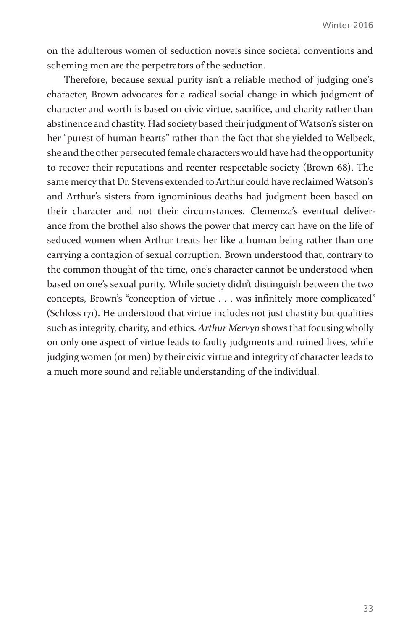on the adulterous women of seduction novels since societal conventions and scheming men are the perpetrators of the seduction.

Therefore, because sexual purity isn't a reliable method of judging one's character, Brown advocates for a radical social change in which judgment of character and worth is based on civic virtue, sacrifice, and charity rather than abstinence and chastity. Had society based their judgment of Watson's sister on her "purest of human hearts" rather than the fact that she yielded to Welbeck, she and the other persecuted female characters would have had the opportunity to recover their reputations and reenter respectable society (Brown 68). The same mercy that Dr. Stevens extended to Arthur could have reclaimed Watson's and Arthur's sisters from ignominious deaths had judgment been based on their character and not their circumstances. Clemenza's eventual deliverance from the brothel also shows the power that mercy can have on the life of seduced women when Arthur treats her like a human being rather than one carrying a contagion of sexual corruption. Brown understood that, contrary to the common thought of the time, one's character cannot be understood when based on one's sexual purity. While society didn't distinguish between the two concepts, Brown's "conception of virtue . . . was infinitely more complicated" (Schloss 171). He understood that virtue includes not just chastity but qualities such as integrity, charity, and ethics. *Arthur Mervyn* shows that focusing wholly on only one aspect of virtue leads to faulty judgments and ruined lives, while judging women (or men) by their civic virtue and integrity of character leads to a much more sound and reliable understanding of the individual.